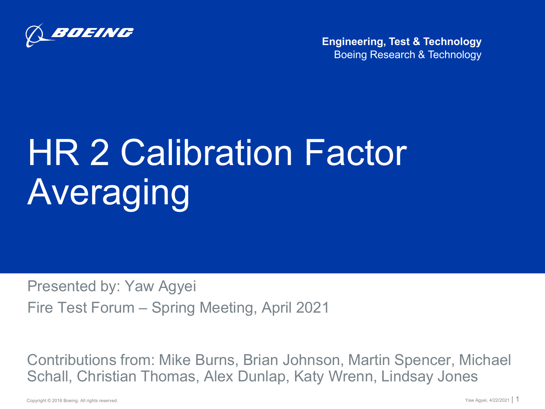

Boeing Research & Technology **Engineering, Test & Technology**

# **HR 2 Calibration Factor** Averaging

Presented by: Yaw Agyei Fire Test Forum – Spring Meeting, April 2021

Contributions from: Mike Burns, Brian Johnson, Martin Spencer, Michael Schall, Christian Thomas, Alex Dunlap, Katy Wrenn, Lindsay Jones

Copyright © 2016 Boeing. All rights reserved.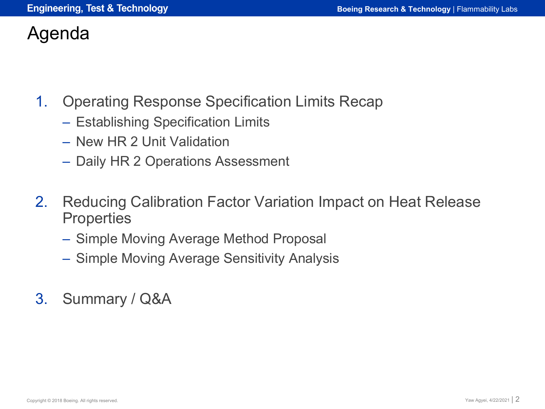#### Agenda

- 1. Operating Response Specification Limits Recap
	- Establishing Specification Limits
	- New HR 2 Unit Validation
	- Daily HR 2 Operations Assessment
- 2. Reducing Calibration Factor Variation Impact on Heat Release **Properties** 
	- Simple Moving Average Method Proposal
	- Simple Moving Average Sensitivity Analysis
- 3. Summary / Q&A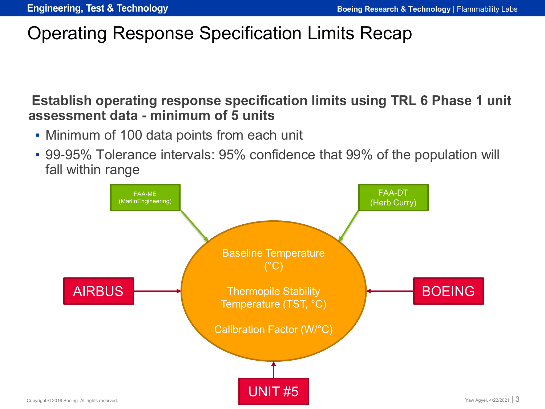## Operating Response Specification Limits Recap

#### **Establish operating response specification limits using TRL 6 Phase 1 unit assessment data - minimum of 5 units**

- Minimum of 100 data points from each unit
- 99-95% Tolerance intervals: 95% confidence that 99% of the population will fall within range

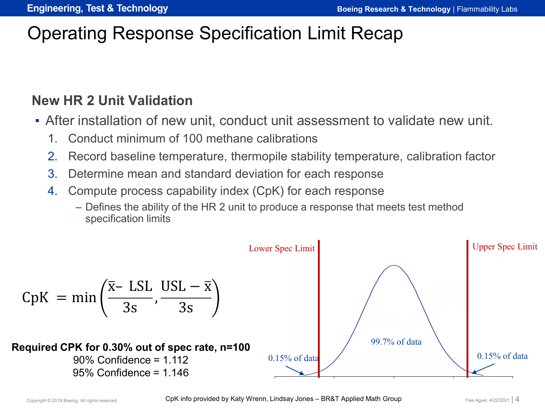## Operating Response Specification Limit Recap

#### **New HR 2 Unit Validation**

- After installation of new unit, conduct unit assessment to validate new unit.
	- 1. Conduct minimum of 100 methane calibrations
	- 2. Record baseline temperature, thermopile stability temperature, calibration factor
	- 3. Determine mean and standard deviation for each response
	- 4. Compute process capability index (CpK) for each response
		- Defines the ability of the HR 2 unit to produce a response that meets test method specification limits

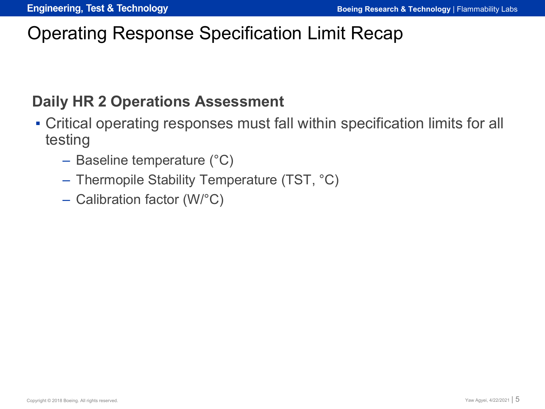## Operating Response Specification Limit Recap

#### **Daily HR 2 Operations Assessment**

- Critical operating responses must fall within specification limits for all testing
	- Baseline temperature (°C)
	- Thermopile Stability Temperature (TST, °C)
	- Calibration factor (W/°C)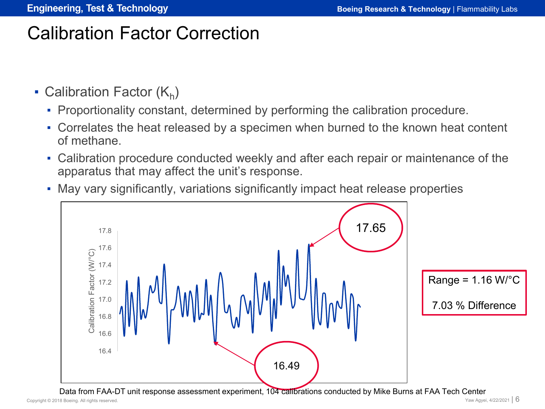- Calibration Factor  $(K_h)$ 
	- Proportionality constant, determined by performing the calibration procedure.
	- Correlates the heat released by a specimen when burned to the known heat content of methane.
	- Calibration procedure conducted weekly and after each repair or maintenance of the apparatus that may affect the unit's response.
	- May vary significantly, variations significantly impact heat release properties

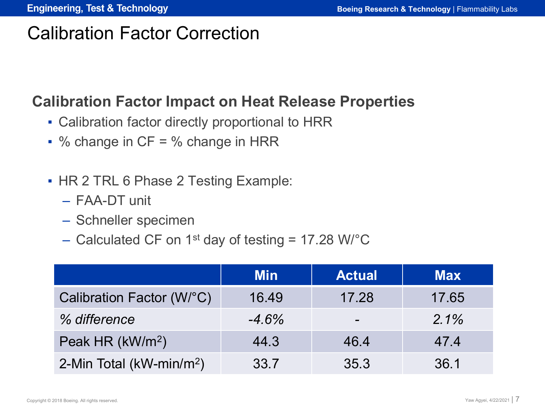#### **Calibration Factor Impact on Heat Release Properties**

- Calibration factor directly proportional to HRR
- $\bullet$  % change in CF = % change in HRR
- HR 2 TRL 6 Phase 2 Testing Example:
	- FAA-DT unit
	- Schneller specimen
	- Calculated CF on 1<sup>st</sup> day of testing = 17.28 W/ $^{\circ}$ C

|                                      | <b>Min</b> | <b>Actual</b> | <b>Max</b> |
|--------------------------------------|------------|---------------|------------|
| Calibration Factor (W/°C)            | 16.49      | 17.28         | 17.65      |
| % difference                         | $-4.6%$    | -             | $2.1\%$    |
| Peak HR (kW/m <sup>2</sup> )         | 44.3       | 46.4          | 47.4       |
| 2-Min Total (kW-min/m <sup>2</sup> ) | 33.7       | 35.3          | 36.1       |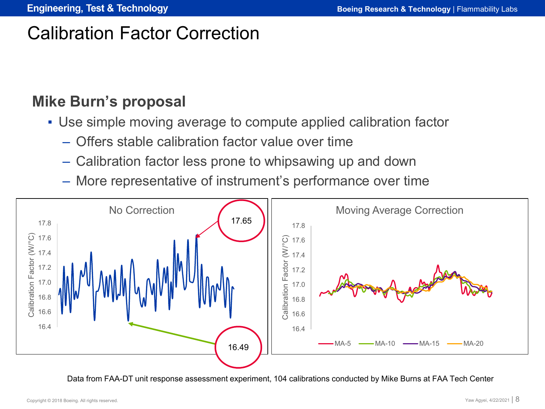#### **Mike Burn's proposal**

- Use simple moving average to compute applied calibration factor
	- Offers stable calibration factor value over time
	- Calibration factor less prone to whipsawing up and down
	- More representative of instrument's performance over time



Data from FAA-DT unit response assessment experiment, 104 calibrations conducted by Mike Burns at FAA Tech Center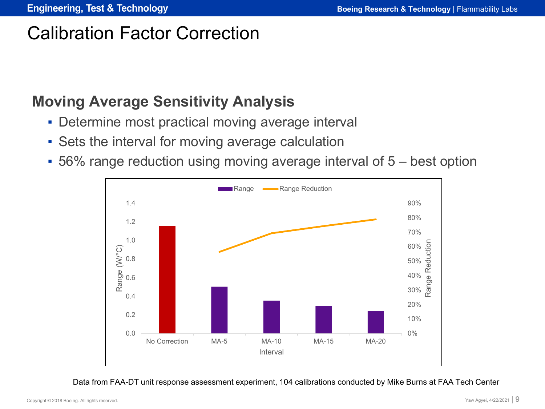#### **Moving Average Sensitivity Analysis**

- Determine most practical moving average interval
- **Sets the interval for moving average calculation**
- 56% range reduction using moving average interval of 5 best option



Data from FAA-DT unit response assessment experiment, 104 calibrations conducted by Mike Burns at FAA Tech Center